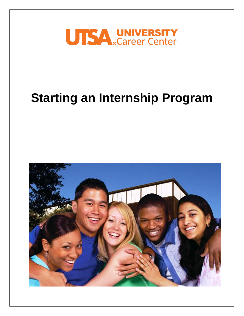

# **Starting an Internship Program**

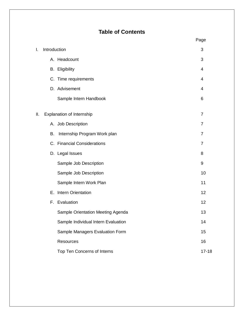# **Table of Contents**

| I.  | Introduction |                                     | 3              |
|-----|--------------|-------------------------------------|----------------|
|     |              | A. Headcount                        | 3              |
|     |              | <b>B.</b> Eligibility               | 4              |
|     |              | C. Time requirements                | 4              |
|     |              | D. Advisement                       | $\overline{4}$ |
|     |              | Sample Intern Handbook              | 6              |
| II. |              | Explanation of Internship           | $\overline{7}$ |
|     |              | A. Job Description                  | $\overline{7}$ |
|     | В.           | Internship Program Work plan        | $\overline{7}$ |
|     |              | C. Financial Considerations         | $\overline{7}$ |
|     |              | D. Legal Issues                     | 8              |
|     |              | Sample Job Description              | $9\,$          |
|     |              | Sample Job Description              | 10             |
|     |              | Sample Intern Work Plan             | 11             |
|     |              | E. Intern Orientation               | 12             |
|     |              | F. Evaluation                       | 12             |
|     |              | Sample Orientation Meeting Agenda   | 13             |
|     |              | Sample Individual Intern Evaluation | 14             |
|     |              | Sample Managers Evaluation Form     | 15             |
|     |              | Resources                           | 16             |
|     |              | Top Ten Concerns of Interns         | $17 - 18$      |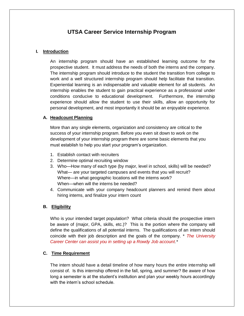## **UTSA Career Service Internship Program**

#### **I. Introduction**

An internship program should have an established learning outcome for the prospective student. It must address the needs of both the interns and the company. The internship program should introduce to the student the transition from college to work and a well structured internship program should help facilitate that transition. Experiential learning is an indispensable and valuable element for all students. An internship enables the student to gain practical experience as a professional under conditions conducive to educational development. Furthermore, the internship experience should allow the student to use their skills, allow an opportunity for personal development, and most importantly it should be an enjoyable experience.

#### **A. Headcount Planning**

More than any single elements, organization and consistency are critical to the success of your internship program. Before you even sit down to work on the development of your internship program there are some basic elements that you must establish to help you start your program's organization.

- 1. Establish contact with recruiters
- 2. Determine optimal recruiting window
- 3. Who—How many of each type (by major, level in school, skills) will be needed? What— are your targeted campuses and events that you will recruit? Where—in what geographic locations will the interns work? When—when will the interns be needed?
- 4. Communicate with your company headcount planners and remind them about hiring interns, and finalize your intern count

#### **B. Eligibility**

Who is your intended target population? What criteria should the prospective intern be aware of (major, GPA, skills, etc.)? This is the portion where the company will define the qualifications of all potential interns. The qualifications of an intern should coincide with their job description and the goals of the company. \* *The University Career Center can assist you in setting up a Rowdy Job account.\**

#### **C. Time Requirement**

The intern should have a detail timeline of how many hours the entire internship will consist of. Is this internship offered in the fall, spring, and summer? Be aware of how long a semester is at the student's institution and plan your weekly hours accordingly with the intern's school schedule.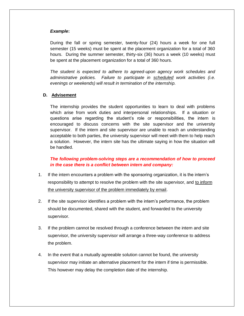#### *Example***:**

During the fall or spring semester, twenty-four (24) hours a week for one full semester (15 weeks) must be spent at the placement organization for a total of 360 hours. During the summer semester, thirty-six (36) hours a week (10 weeks) must be spent at the placement organization for a total of 360 hours.

*The student is expected to adhere to agreed-upon agency work schedules and administrative policies. Failure to participate in scheduled work activities (i.e. evenings or weekends) will result in termination of the internship.* 

#### **D. Advisement**

The internship provides the student opportunities to learn to deal with problems which arise from work duties and interpersonal relationships. If a situation or questions arise regarding the student's role or responsibilities, the intern is encouraged to discuss concerns with the site supervisor and the university supervisor. If the intern and site supervisor are unable to reach an understanding acceptable to both parties, the university supervisor will meet with them to help reach a solution. However, the intern site has the ultimate saying in how the situation will be handled.

*The following problem-solving steps are a recommendation of how to proceed in the case there is a conflict between intern and company:*

- 1. If the intern encounters a problem with the sponsoring organization, it is the intern's responsibility to attempt to resolve the problem with the site supervisor, and to inform the university supervisor of the problem immediately by email.
- 2. If the site supervisor identifies a problem with the intern's performance, the problem should be documented, shared with the student, and forwarded to the university supervisor.
- 3. If the problem cannot be resolved through a conference between the intern and site supervisor, the university supervisor will arrange a three-way conference to address the problem.
- 4. In the event that a mutually agreeable solution cannot be found, the university supervisor may initiate an alternative placement for the intern if time is permissible. This however may delay the completion date of the internship.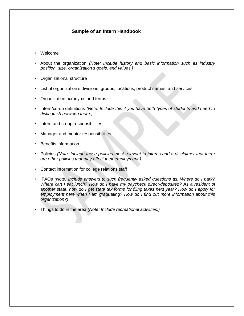## **Sample of an Intern Handbook**

- Welcome
- About the organization *(Note: Include history and basic information such as industry position, size, organization's goals, and values.)*
- Organizational structure
- List of organization's divisions, groups, locations, product names, and services
- Organization acronyms and terms
- Intern/co-op definitions *(Note: Include this if you have both types of students and need to distinguish between them.)*
- Intern and co-op responsibilities
- Manager and mentor responsibilities
- Benefits information
- Policies *(Note: Include those policies most relevant to interns and a disclaimer that there are other policies that may affect their employment.)*
- Contact information for college relations staff
- FAQs *(Note: Include answers to such frequently asked questions as: Where do I park? Where can I eat lunch? How do I have my paycheck direct-deposited? As a resident of another state, how do I get state tax forms for filing taxes next year? How do I apply for employment here when I am graduating? How do I find out more information about this organization?)*
- Things to do in the area *(Note: Include recreational activities.)*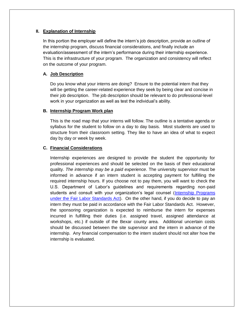#### **II. Explanation of Internship**

In this portion the employer will define the intern's job description, provide an outline of the internship program, discuss financial considerations, and finally include an evaluation/assessment of the intern's performance during their internship experience. This is the infrastructure of your program. The organization and consistency will reflect on the outcome of your program.

#### **A. Job Description**

Do you know what your interns are doing? Ensure to the potential intern that they will be getting the career-related experience they seek by being clear and concise in their job description. The job description should be relevant to do professional-level work in your organization as well as test the individual's ability.

#### **B. Internship Program Work plan**

This is the road map that your interns will follow. The outline is a tentative agenda or syllabus for the student to follow on a day to day basis. Most students are used to structure from their classroom setting. They like to have an idea of what to expect day by day or week by week.

#### **C. Financial Considerations**

Internship experiences are designed to provide the student the opportunity for professional experiences and should be selected on the basis of their educational quality. *The internship may be a paid experience.* The university supervisor must be informed in advance if an intern student is accepting payment for fulfilling the required internship hours. If you choose not to pay them, you will want to check the U.S. Department of Labor's guidelines and requirements regarding non-paid students and consult with your organization's legal counsel (Internship Programs under the Fair Labor Standards Act). On the other hand, if you do decide to pay an intern they must be paid in accordance with the Fair Labor Standards Act. However, the sponsoring organization is expected to reimburse the intern for expenses incurred in fulfilling their duties (i.e. assigned travel, assigned attendance at workshops, etc.) if outside of the Bexar county area. Additional uncertain costs should be discussed between the site supervisor and the intern in advance of the internship. Any financial compensation to the intern student should not alter how the internship is evaluated.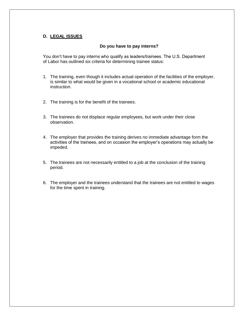#### **D. LEGAL ISSUES**

#### **Do you have to pay interns?**

You don't have to pay interns who qualify as leaders/trainees. The U.S. Department of Labor has outlined six criteria for determining trainee status:

- 1. The training, even though it includes actual operation of the facilities of the employer, is similar to what would be given in a vocational school or academic educational instruction.
- 2. The training is for the benefit of the trainees.
- 3. The trainees do not displace regular employees, but work under their close observation.
- 4. The employer that provides the training derives no immediate advantage form the activities of the trainees, and on occasion the employer's operations may actually be impeded.
- 5. The trainees are not necessarily entitled to a job at the conclusion of the training period.
- 6. The employer and the trainees understand that the trainees are not entitled to wages for the time spent in training.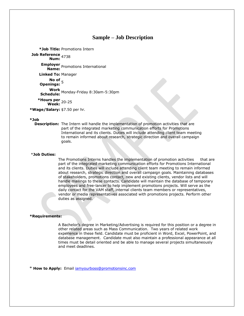#### **Sample – Job Description**

**\*Job Title:** Promotions Intern

```
Job Reference 
Num: 4738
      Employer 
Name: Promotions International
     Linked To: Manager
          No of 
     Openings:
      Work 
Schedule: Monday-Friday 8:30am-5:30pm
    *Hours per 
Week: 20-25
*Wage/Salary: $7.50 per hr.
```
#### **\*Job**

**Description:** The Intern will handle the implementation of promotion activities that are part of the integrated marketing communication efforts for Promotions International and its clients. Duties will include attending client team meeting to remain informed about research, strategic direction and overall campaign goals.

#### \***Job Duties:**

The Promotions Interns handles the implementation of promotion activities that are part of the integrated marketing communication efforts for Promotions International and its clients. Duties will include attending client team meeting to remain informed about research, strategic direction and overall campaign goals. Maintaining databases of stakeholders, promotions contact, new and existing clients, vendor lists and will handle mailings to these contacts. Candidate will maintain the database of temporary employees and free-lancer to help implement promotions projects. Will serve as the daily contact for the VAM staff, internal clients team members or representatives, vendor or media representatives associated with promotions projects. Perform other duties as assigned.

#### **\*Requirements:**

A Bachelor's degree in Marketing/Advertising is required for this position or a degree in other related areas such as Mass Communication. Two years of related work experience in these field. Candidate must be proficient in Word, Excel, PowerPoint, and database management. Candidate must also maintain a professional appearance at all times must be detail oriented and be able to manage several projects simultaneously and meet deadlines.

\* **How to Apply:** Email iamyourboss@promotionsinc.com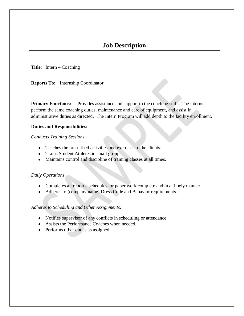## **Job Description**

**Title**: Intern – Coaching

**Reports To**: Internship Coordinator

**Primary Functions:** Provides assistance and support to the coaching staff. The interns perform the same coaching duties, maintenance and care of equipment, and assist in administrative duties as directed. The Intern Program will add depth to the facility enrollment.

#### **Duties and Responsibilities:**

*Conducts Training Sessions*:

- Teaches the prescribed activities and exercises to the clients.
- Trains Student Athletes in small groups.
- Maintains control and discipline of training classes at all times.

#### *Daily Operations*:

- Completes all reports, schedules, or paper work complete and in a timely manner.
- Adheres to (company name) Dress Code and Behavior requirements.

*Adheres to Scheduling and Other Assignments:*

- Notifies supervisor of any conflicts in scheduling or attendance.
- Assists the Performance Coaches when needed.
- Performs other duties as assigned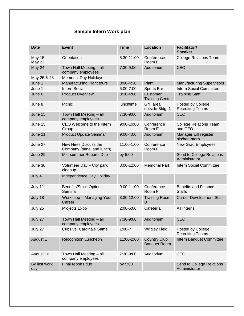# **Sample Intern Work plan**

| <b>Date</b>                    | <b>Event</b>                                       | <b>Time</b>   | <b>Location</b>                            | <b>Facilitator/</b><br><b>Speaker</b>               |
|--------------------------------|----------------------------------------------------|---------------|--------------------------------------------|-----------------------------------------------------|
| <b>May 15</b><br><b>May 22</b> | Orientation                                        | 8:30-11:00    | Conference<br>Room E                       | <b>College Relations Team</b>                       |
| May 24                         | Town Hall Meeting - all<br>company employees       | 7:30-9:00     | Auditorium                                 | <b>CEO</b>                                          |
| May 25 & 28                    | <b>Memorial Day Holidays</b>                       |               |                                            |                                                     |
| June 1                         | Manufacturing Plant tours                          | $3:00 - 4:30$ | Plant                                      | <b>Manufacturing Supervisors</b>                    |
| June 1                         | <b>Intern Social</b>                               | 5:00-7:00     | Sports Bar                                 | Intern Social Committee                             |
| June 6                         | <b>Product Overview</b>                            | 8:30-4:00     | <b>Customer</b><br><b>Training Center</b>  | <b>Training Staff</b>                               |
| June 8                         | Picnic                                             | lunchtime     | Grill area<br>outside Bldg. 1              | <b>Hosted by College</b><br><b>Recruiting Teams</b> |
| June 15                        | Town Hall Meeting - all<br>company employees       | 7:30-9:00     | Auditorium                                 | <b>CEO</b>                                          |
| June 15                        | CEO Welcome to the Intern<br>Group                 | 9:00-10:00    | Conference<br>Room E                       | <b>College Relations Team</b><br>and CEO            |
| June 21                        | <b>Product Update Seminar</b>                      | $9:00 - 4:00$ | Auditorium                                 | Manager will register<br>his/her intern             |
| June 27                        | New Hires Discuss the<br>Company (panel and lunch) | 11:00-1:00    | Conference<br>Room F                       | <b>New Grad Employees</b>                           |
| June 29                        | Mid-summer Reports Due                             | by 5:00       |                                            | Send to College Relations<br>Administrator          |
| June 30                        | Volunteer Day - City park<br>cleanup               | 8:00-12:00    | <b>Memorial Park</b>                       | Intern Social Committee                             |
| July 4                         | Independence Day Holiday                           |               |                                            |                                                     |
| July 11                        | <b>Benefits/Stock Options</b><br>Seminar           | 9:00-11:00    | Conference<br>Room F                       | <b>Benefits and Finance</b><br><b>Staffs</b>        |
| July 18                        | Workshop - Managing Your<br>Career                 | 8:30-12:00    | <b>Training Room</b><br>B                  | <b>Career Development Staff</b>                     |
| July 25                        | Projects Expo                                      | 2:00-5:00     | Cafeteria                                  | All Interns                                         |
| July 27                        | Town Hall Meeting - all<br>company employees       | 7:30-9:00     | Auditorium                                 | <b>CEO</b>                                          |
| July 27                        | Cubs vs. Cardinals Game                            | $1:00-?$      | <b>Wrigley Field</b>                       | <b>Hosted by College</b><br><b>Recruiting Teams</b> |
| August 1                       | <b>Recognition Luncheon</b>                        | 11:00-2:00    | <b>Country Club</b><br><b>Banquet Room</b> | Intern Banquet Committee                            |
| August 10                      | Town Hall Meeting - all<br>company employees       | 7:30-9:00     | Auditorium                                 | <b>CEO</b>                                          |
| By last work<br>day            | Final reports due                                  | by 5:00       |                                            | Send to College Relations<br>Administrator          |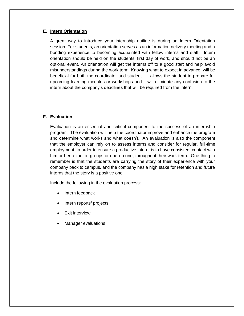#### **E. Intern Orientation**

A great way to introduce your internship outline is during an Intern Orientation session. For students, an orientation serves as an information delivery meeting and a bonding experience to becoming acquainted with fellow interns and staff. Intern orientation should be held on the students' first day of work, and should not be an optional event. An orientation will get the interns off to a good start and help avoid misunderstandings during the work term. Knowing what to expect in advance, will be beneficial for both the coordinator and student. It allows the student to prepare for upcoming learning modules or workshops and it will eliminate any confusion to the intern about the company's deadlines that will be required from the intern.

#### **F. Evaluation**

Evaluation is an essential and critical component to the success of an internship program. The evaluation will help the coordinator improve and enhance the program and determine what works and what doesn't. An evaluation is also the component that the employer can rely on to assess interns and consider for regular, full-time employment. In order to ensure a productive intern, is to have consistent contact with him or her, either in groups or one-on-one, throughout their work term. One thing to remember is that the students are carrying the story of their experience with your company back to campus, and the company has a high stake for retention and future interns that the story is a positive one.

Include the following in the evaluation process:

- Intern feedback
- Intern reports/ projects
- Exit interview
- Manager evaluations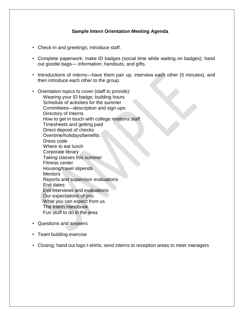## **Sample Intern Orientation Meeting Agenda**

- Check-in and greetings; introduce staff.
- Complete paperwork; make ID badges (social time while waiting on badges); hand out goodie bags— information, handouts, and gifts.
- Introductions of interns—have them pair up, interview each other (5 minutes), and then introduce each other to the group.
- Orientation topics to cover (staff to provide): Wearing your ID badge; building hours Schedule of activities for the summer Committees—description and sign-ups Directory of Interns How to get in touch with college relations staff Timesheets and getting paid Direct deposit of checks Overtime/holidays/benefits Dress code Where to eat lunch Corporate library Taking classes this summer Fitness center Housing/travel stipends **Mentors** Reports and supervisor evaluations End dates Exit interviews and evaluations Our expectations of you What you can expect from us The Intern Handbook Fun stuff to do in the area
- Questions and answers
- Team building exercise
- Closing; hand out logo t-shirts; send interns to reception areas to meet managers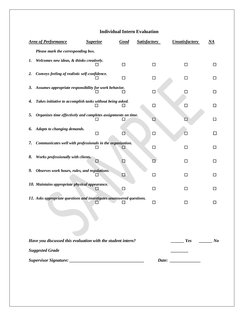## **Individual Intern Evaluation**

 $\mathbf{I}$ 

| <b>Area of Performance</b> |                                                                       | <b>Superior</b> | <b>Good</b> | <b>Satisfactory</b> | <b>Unsatisfactory</b> | NA     |
|----------------------------|-----------------------------------------------------------------------|-----------------|-------------|---------------------|-----------------------|--------|
|                            | Please mark the corresponding box.                                    |                 |             |                     |                       |        |
| 1.                         | Welcomes new ideas, & thinks creatively.                              |                 | $\Box$      | □                   | $\Box$                | □      |
| 2.                         | Conveys feeling of realistic self-confidence.                         |                 | □           | □                   | □                     |        |
| 3.                         | Assumes appropriate responsibility for work behavior.                 |                 | ΙI          | □                   |                       |        |
| 4.                         | Takes initiative to accomplish tasks without being asked.             |                 |             | □                   | □                     |        |
| 5.                         | Organizes time effectively and completes assignments on time.         |                 | ப           | $\Box$              |                       | ப      |
| 6.                         | Adapts to changing demands.                                           | $\Box$          | □           | □                   |                       | $\Box$ |
| 7.                         | Communicates well with professionals in the organization.             |                 | ⊔           | □                   | П                     | ப      |
| 8.                         | Works professionally with clients.                                    | □               | ⊡           |                     | ΙI                    | l 1    |
| 9.                         | Observes work hours, rules, and regulations.                          |                 | □           | $\Box$              | П                     | П      |
|                            | 10. Maintains appropriate physical appearance.                        |                 | □           | □                   | П                     | $\Box$ |
|                            | 11. Asks appropriate questions and investigates unanswered questions. |                 |             | □                   | П                     |        |
|                            |                                                                       |                 |             |                     |                       |        |
|                            | Have you discussed this evaluation with the student intern?           |                 |             |                     | <i>Yes</i> No         |        |
|                            | <b>Suggested Grade</b>                                                |                 |             |                     |                       |        |
|                            |                                                                       |                 |             |                     | Date: $\qquad \qquad$ |        |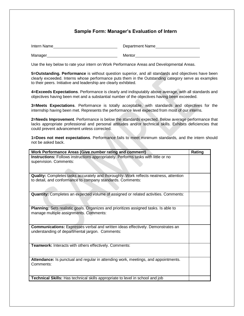### **Sample Form: Manager's Evaluation of Intern**

| Intern Name | Department Name |
|-------------|-----------------|
| Manager     | Mentor          |

Use the key below to rate your intern on Work Performance Areas and Developmental Areas.

**5=Outstanding. Performance** is without question superior, and all standards and objectives have been clearly exceeded. Interns whose performance puts them in the Outstanding category serve as examples to their peers. Initiative and leadership are clearly exhibited.

**4=Exceeds Expectations**. Performance is clearly and indisputably above average, with all standards and objectives having been met and a substantial number of the objectives having been exceeded.

**3=Meets Expectations**. Performance is totally acceptable, with standards and objectives for the internship having been met. Represents the performance level expected from most of our interns.

**2=Needs Improvement**. Performance is below the standards expected. Below average performance that lacks appropriate professional and personal attitudes and/or technical skills. Exhibits deficiencies that could prevent advancement unless corrected.

**1=Does not meet expectations**. Performance fails to meet minimum standards, and the intern should not be asked back.

| Work Performance Areas (Give number rating and comment)                               | Rating |
|---------------------------------------------------------------------------------------|--------|
| Instructions: Follows instructions appropriately. Performs tasks with little or no    |        |
| supervision. Comments:                                                                |        |
|                                                                                       |        |
|                                                                                       |        |
| Quality: Completes tasks accurately and thoroughly. Work reflects neatness, attention |        |
| to detail, and conformance to company standards. Comments:                            |        |
|                                                                                       |        |
|                                                                                       |        |
| Quantity: Completes an expected volume of assigned or related activities. Comments:   |        |
|                                                                                       |        |
|                                                                                       |        |
| Planning: Sets realistic goals. Organizes and prioritizes assigned tasks. Is able to  |        |
| manage multiple assignments. Comments:                                                |        |
|                                                                                       |        |
|                                                                                       |        |
| Communications: Expresses verbal and written ideas effectively. Demonstrates an       |        |
| understanding of departmental jargon. Comments:                                       |        |
|                                                                                       |        |
|                                                                                       |        |
| Teamwork: Interacts with others effectively. Comments:                                |        |
|                                                                                       |        |
|                                                                                       |        |
| Attendance: Is punctual and regular in attending work, meetings, and appointments.    |        |
| Comments:                                                                             |        |
|                                                                                       |        |
|                                                                                       |        |
| <b>Technical Skills:</b> Has technical skills appropriate to level in school and job  |        |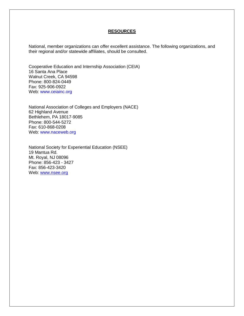#### **RESOURCES**

National, member organizations can offer excellent assistance. The following organizations, and their regional and/or statewide affiliates, should be consulted.

Cooperative Education and Internship Association (CEIA) 16 Santa Ana Place Walnut Creek, CA 94598 Phone: 800-824-0449 Fax: 925-906-0922 Web: www.ceiainc.org

National Association of Colleges and Employers (NACE) 62 Highland Avenue Bethlehem, PA 18017-9085 Phone: 800-544-5272 Fax: 610-868-0208 Web: www.naceweb.org

National Society for Experiential Education (NSEE) 19 Mantua Rd. Mt. Royal, NJ 08096 Phone: 856-423 - 3427 Fax: 856-423-3420 Web: [www.nsee.org](http://www.nsee.org/)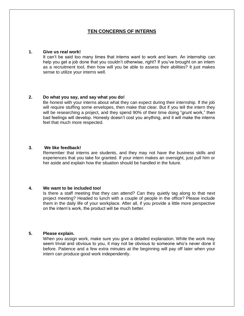#### **TEN CONCERNS OF INTERNS**

#### **1. Give us real work!**

It can't be said too many times that interns want to work and learn. An internship can help you get a job done that you couldn't otherwise, right? If you've brought on an intern as a recruitment tool, then how will you be able to assess their abilities? It just makes sense to utilize your interns well.

#### **2. Do what you say, and say what you do!**

Be honest with your interns about what they can expect during their internship. If the job will require stuffing some envelopes, then make that clear. But if you tell the intern they will be researching a project, and they spend 90% of their time doing "grunt work," then bad feelings will develop. Honesty doesn't cost you anything, and it will make the interns feel that much more respected.

#### **3. We like feedback!**

Remember that interns are students, and they may not have the business skills and experiences that you take for granted. If your intern makes an oversight, just pull him or her aside and explain how the situation should be handled in the future.

#### **4. We want to be included too!**

Is there a staff meeting that they can attend? Can they quietly tag along to that next project meeting? Headed to lunch with a couple of people in the office? Please include them in the daily life of your workplace. After all, if you provide a little more perspective on the intern's work, the product will be much better.

#### **5. Please explain.**

When you assign work, make sure you give a detailed explanation. While the work may seem trivial and obvious to you, it may not be obvious to someone who's never done it before. Patience and a few extra minutes at the beginning will pay off later when your intern can produce good work independently.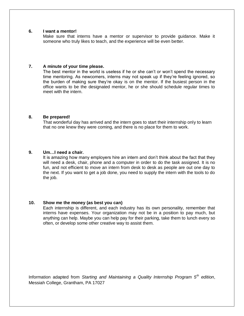#### **6. I want a mentor!**

Make sure that interns have a mentor or supervisor to provide guidance. Make it someone who truly likes to teach, and the experience will be even better.

#### **7. A minute of your time please.**

The best mentor in the world is useless if he or she can't or won't spend the necessary time mentoring. As newcomers, interns may not speak up if they're feeling ignored, so the burden of making sure they're okay is on the mentor. If the busiest person in the office wants to be the designated mentor, he or she should schedule regular times to meet with the intern.

#### **8. Be prepared!**

That wonderful day has arrived and the intern goes to start their internship only to learn that no one knew they were coming, and there is no place for them to work.

#### **9. Um…I need a chair.**

It is amazing how many employers hire an intern and don't think about the fact that they will need a desk, chair, phone and a computer in order to do the task assigned. It is no fun, and not efficient to move an intern from desk to desk as people are out one day to the next. If you want to get a job done, you need to supply the intern with the tools to do the job.

#### **10. Show me the money (as best you can)**

Each internship is different, and each industry has its own personality, remember that interns have expenses. Your organization may not be in a position to pay much, but anything can help. Maybe you can help pay for their parking, take them to lunch every so often, or develop some other creative way to assist them.

Information adapted from *Starting and Maintaining a Quality Internship Program 5th edition*, Messiah College, Grantham, PA 17027